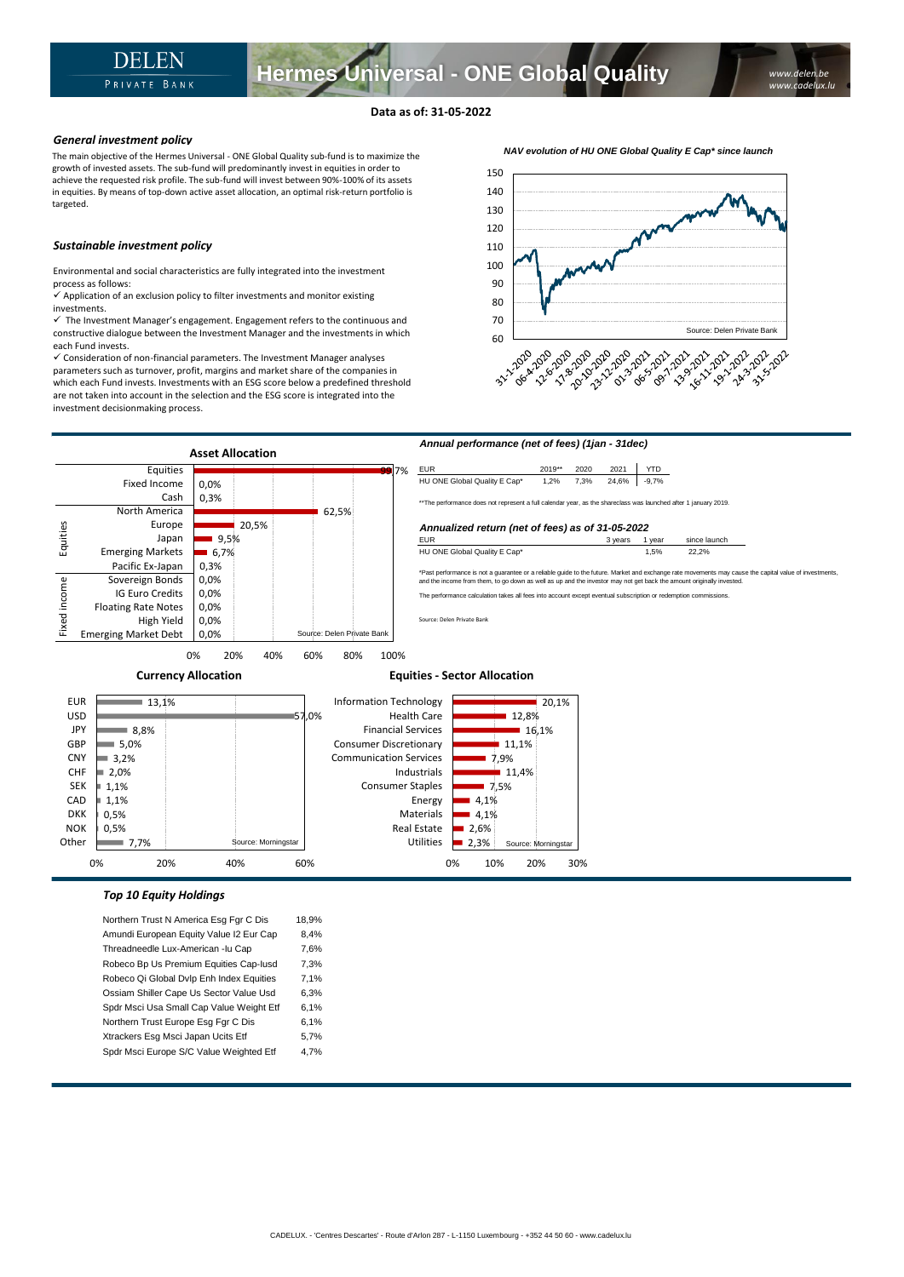**Hermes Universal - ONE Global Quality**

The main objective of the Hermes Universal - ONE Global Quality sub-fund is to maximize the growth of invested assets. The sub-fund will predominantly invest in equities in order to achieve the requested risk profile. The sub-fund will invest between 90%-100% of its assets in equities. By means of top-down active asset allocation, an optimal risk-return portfolio is targeted.

## *Sustainable investment policy*

Environmental and social characteristics are fully integrated into the investment process as follows:

 $\checkmark$  Application of an exclusion policy to filter investments and monitor existing investments.

 $\checkmark$  The Investment Manager's engagement. Engagement refers to the continuous and constructive dialogue between the Investment Manager and the investments in which each Fund invests.

✓ Consideration of non-financial parameters. The Investment Manager analyses parameters such as turnover, profit, margins and market share of the companies in which each Fund invests. Investments with an ESG score below a predefined threshold are not taken into account in the selection and the ESG score is integrated into the investment decisionmaking process.





0% 10% 20% 30%

## *Top 10 Equity Holdings*

Northern Trust N America Esg Fgr C Dis 18,9% Amundi European Equity Value I2 Eur Cap 8,4% Threadneedle Lux-American -lu Cap 7,6% Robeco Bp Us Premium Equities Cap-Iusd 7,3% Robeco Qi Global Dvlp Enh Index Equities 7,1% Ossiam Shiller Cape Us Sector Value Usd 6,3% Spdr Msci Usa Small Cap Value Weight Etf 6,1% Northern Trust Europe Esg Fgr C Dis 6,1% Xtrackers Esg Msci Japan Ucits Etf 5,7% Spdr Msci Europe S/C Value Weighted Etf 4,7%

0% 20% 40% 60%

*NAV evolution of HU ONE Global Quality E Cap\* since launch*

*www.delen.be www.cadelux.lu*